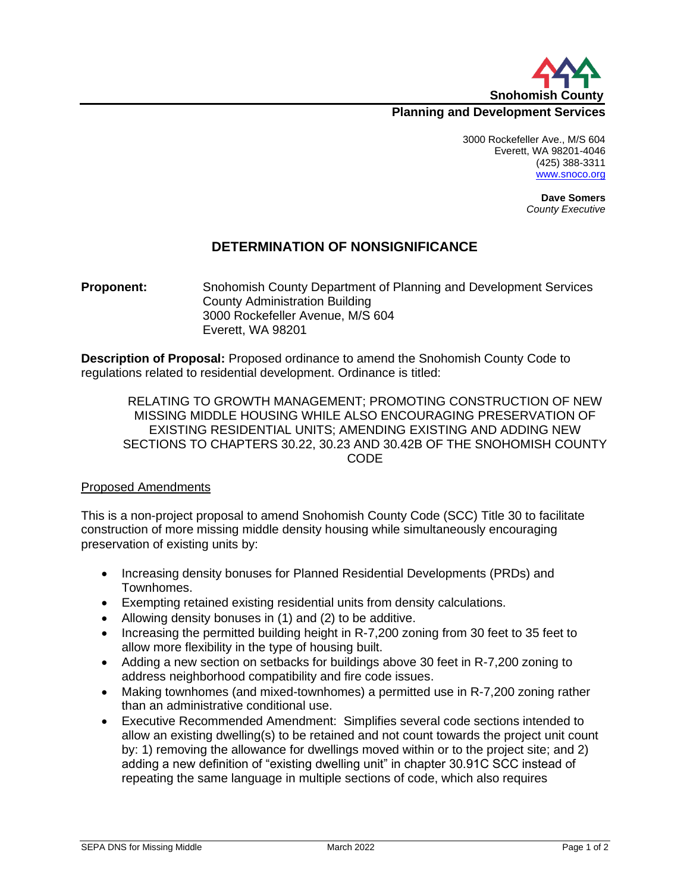

## **Planning and Development Services**

3000 Rockefeller Ave., M/S 604 Everett, WA 98201-4046 (425) 388-3311 [www.snoco.org](http://www.snoco.org/)

> **Dave Somers** *County Executive*

## **DETERMINATION OF NONSIGNIFICANCE**

**Proponent:** Snohomish County Department of Planning and Development Services County Administration Building 3000 Rockefeller Avenue, M/S 604 Everett, WA 98201

**Description of Proposal:** Proposed ordinance to amend the Snohomish County Code to regulations related to residential development. Ordinance is titled:

RELATING TO GROWTH MANAGEMENT; PROMOTING CONSTRUCTION OF NEW MISSING MIDDLE HOUSING WHILE ALSO ENCOURAGING PRESERVATION OF EXISTING RESIDENTIAL UNITS; AMENDING EXISTING AND ADDING NEW SECTIONS TO CHAPTERS 30.22, 30.23 AND 30.42B OF THE SNOHOMISH COUNTY CODE

#### Proposed Amendments

This is a non-project proposal to amend Snohomish County Code (SCC) Title 30 to facilitate construction of more missing middle density housing while simultaneously encouraging preservation of existing units by:

- Increasing density bonuses for Planned Residential Developments (PRDs) and Townhomes.
- Exempting retained existing residential units from density calculations.
- Allowing density bonuses in (1) and (2) to be additive.
- Increasing the permitted building height in R-7,200 zoning from 30 feet to 35 feet to allow more flexibility in the type of housing built.
- Adding a new section on setbacks for buildings above 30 feet in R-7,200 zoning to address neighborhood compatibility and fire code issues.
- Making townhomes (and mixed-townhomes) a permitted use in R-7,200 zoning rather than an administrative conditional use.
- Executive Recommended Amendment: Simplifies several code sections intended to allow an existing dwelling(s) to be retained and not count towards the project unit count by: 1) removing the allowance for dwellings moved within or to the project site; and 2) adding a new definition of "existing dwelling unit" in chapter 30.91C SCC instead of repeating the same language in multiple sections of code, which also requires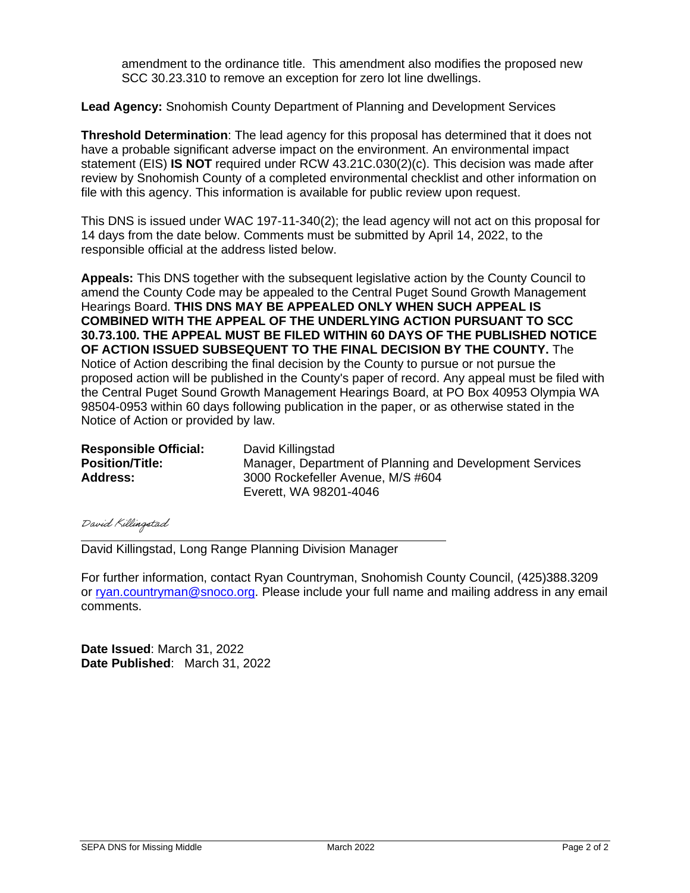amendment to the ordinance title. This amendment also modifies the proposed new SCC 30.23.310 to remove an exception for zero lot line dwellings.

**Lead Agency:** Snohomish County Department of Planning and Development Services

**Threshold Determination**: The lead agency for this proposal has determined that it does not have a probable significant adverse impact on the environment. An environmental impact statement (EIS) **IS NOT** required under RCW 43.21C.030(2)(c). This decision was made after review by Snohomish County of a completed environmental checklist and other information on file with this agency. This information is available for public review upon request.

This DNS is issued under WAC 197-11-340(2); the lead agency will not act on this proposal for 14 days from the date below. Comments must be submitted by April 14, 2022, to the responsible official at the address listed below.

**Appeals:** This DNS together with the subsequent legislative action by the County Council to amend the County Code may be appealed to the Central Puget Sound Growth Management Hearings Board. **THIS DNS MAY BE APPEALED ONLY WHEN SUCH APPEAL IS COMBINED WITH THE APPEAL OF THE UNDERLYING ACTION PURSUANT TO SCC 30.73.100. THE APPEAL MUST BE FILED WITHIN 60 DAYS OF THE PUBLISHED NOTICE OF ACTION ISSUED SUBSEQUENT TO THE FINAL DECISION BY THE COUNTY.** The Notice of Action describing the final decision by the County to pursue or not pursue the proposed action will be published in the County's paper of record. Any appeal must be filed with the Central Puget Sound Growth Management Hearings Board, at PO Box 40953 Olympia WA 98504-0953 within 60 days following publication in the paper, or as otherwise stated in the Notice of Action or provided by law.

| <b>Responsible Official:</b> | David Killingstad                                        |
|------------------------------|----------------------------------------------------------|
| <b>Position/Title:</b>       | Manager, Department of Planning and Development Services |
| <b>Address:</b>              | 3000 Rockefeller Avenue, M/S #604                        |
|                              | Everett, WA 98201-4046                                   |

David Killingstad

David Killingstad, Long Range Planning Division Manager

For further information, contact Ryan Countryman, Snohomish County Council, (425)388.3209 or [ryan.countryman@snoco.org.](mailto:ryan.countryman@snoco.org) Please include your full name and mailing address in any email comments.

**Date Issued**: March 31, 2022 **Date Published**: March 31, 2022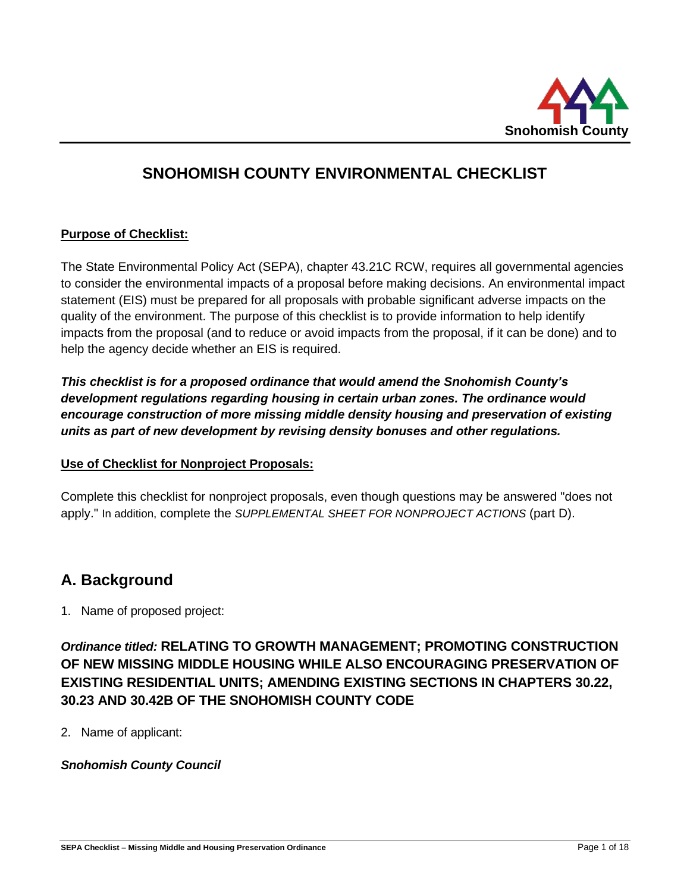

# **SNOHOMISH COUNTY ENVIRONMENTAL CHECKLIST**

## **Purpose of Checklist:**

The State Environmental Policy Act (SEPA), chapter 43.21C RCW, requires all governmental agencies to consider the environmental impacts of a proposal before making decisions. An environmental impact statement (EIS) must be prepared for all proposals with probable significant adverse impacts on the quality of the environment. The purpose of this checklist is to provide information to help identify impacts from the proposal (and to reduce or avoid impacts from the proposal, if it can be done) and to help the agency decide whether an EIS is required.

*This checklist is for a proposed ordinance that would amend the Snohomish County's development regulations regarding housing in certain urban zones. The ordinance would encourage construction of more missing middle density housing and preservation of existing units as part of new development by revising density bonuses and other regulations.*

#### **Use of Checklist for Nonproject Proposals:**

Complete this checklist for nonproject proposals, even though questions may be answered "does not apply." In addition, complete the *SUPPLEMENTAL SHEET FOR NONPROJECT ACTIONS* (part D).

# **A. Background**

1. Name of proposed project:

# *Ordinance titled:* **RELATING TO GROWTH MANAGEMENT; PROMOTING CONSTRUCTION OF NEW MISSING MIDDLE HOUSING WHILE ALSO ENCOURAGING PRESERVATION OF EXISTING RESIDENTIAL UNITS; AMENDING EXISTING SECTIONS IN CHAPTERS 30.22, 30.23 AND 30.42B OF THE SNOHOMISH COUNTY CODE**

2. Name of applicant:

# *Snohomish County Council*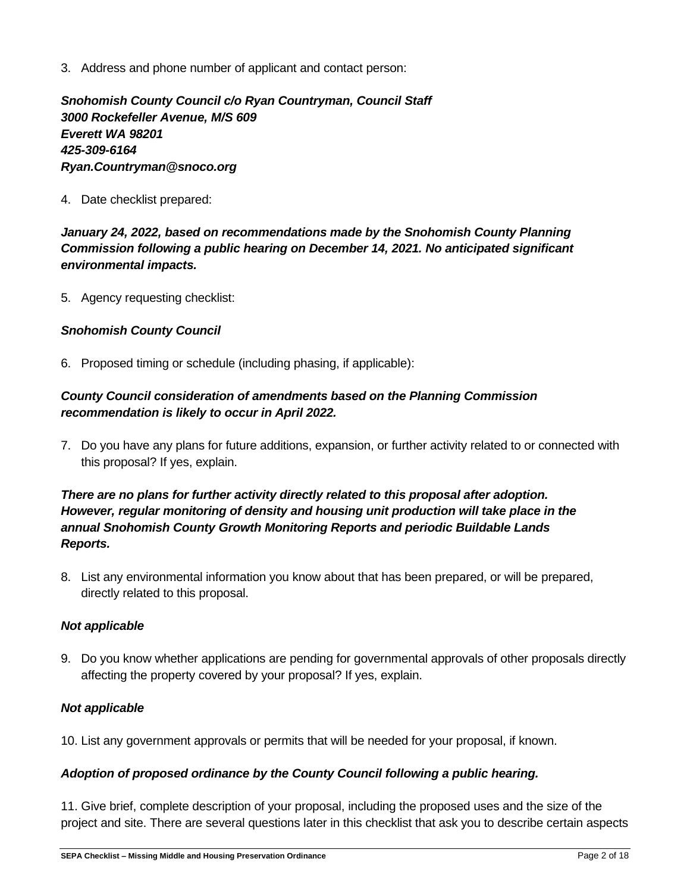3. Address and phone number of applicant and contact person:

*Snohomish County Council c/o Ryan Countryman, Council Staff 3000 Rockefeller Avenue, M/S 609 Everett WA 98201 425-309-6164 Ryan.Countryman@snoco.org*

4. Date checklist prepared:

*January 24, 2022, based on recommendations made by the Snohomish County Planning Commission following a public hearing on December 14, 2021. No anticipated significant environmental impacts.*

5. Agency requesting checklist:

#### *Snohomish County Council*

6. Proposed timing or schedule (including phasing, if applicable):

## *County Council consideration of amendments based on the Planning Commission recommendation is likely to occur in April 2022.*

7. Do you have any plans for future additions, expansion, or further activity related to or connected with this proposal? If yes, explain.

# *There are no plans for further activity directly related to this proposal after adoption. However, regular monitoring of density and housing unit production will take place in the annual Snohomish County Growth Monitoring Reports and periodic Buildable Lands Reports.*

8. List any environmental information you know about that has been prepared, or will be prepared, directly related to this proposal.

#### *Not applicable*

9. Do you know whether applications are pending for governmental approvals of other proposals directly affecting the property covered by your proposal? If yes, explain.

#### *Not applicable*

10. List any government approvals or permits that will be needed for your proposal, if known.

#### *Adoption of proposed ordinance by the County Council following a public hearing.*

11. Give brief, complete description of your proposal, including the proposed uses and the size of the project and site. There are several questions later in this checklist that ask you to describe certain aspects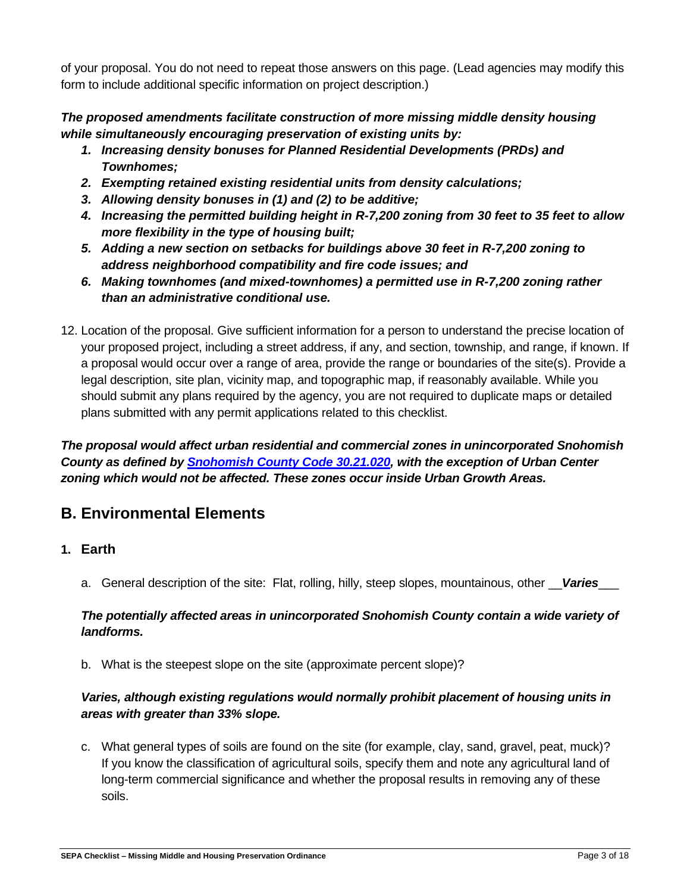of your proposal. You do not need to repeat those answers on this page. (Lead agencies may modify this form to include additional specific information on project description.)

# *The proposed amendments facilitate construction of more missing middle density housing while simultaneously encouraging preservation of existing units by:*

- *1. Increasing density bonuses for Planned Residential Developments (PRDs) and Townhomes;*
- *2. Exempting retained existing residential units from density calculations;*
- *3. Allowing density bonuses in (1) and (2) to be additive;*
- *4. Increasing the permitted building height in R-7,200 zoning from 30 feet to 35 feet to allow more flexibility in the type of housing built;*
- *5. Adding a new section on setbacks for buildings above 30 feet in R-7,200 zoning to address neighborhood compatibility and fire code issues; and*
- *6. Making townhomes (and mixed-townhomes) a permitted use in R-7,200 zoning rather than an administrative conditional use.*
- 12. Location of the proposal. Give sufficient information for a person to understand the precise location of your proposed project, including a street address, if any, and section, township, and range, if known. If a proposal would occur over a range of area, provide the range or boundaries of the site(s). Provide a legal description, site plan, vicinity map, and topographic map, if reasonably available. While you should submit any plans required by the agency, you are not required to duplicate maps or detailed plans submitted with any permit applications related to this checklist.

*The proposal would affect urban residential and commercial zones in unincorporated Snohomish County as defined by [Snohomish County Code 30.21.020,](https://snohomish.county.codes/SCC/30.21.020) with the exception of Urban Center zoning which would not be affected. These zones occur inside Urban Growth Areas.*

# **B. Environmental Elements**

- **1. Earth**
	- a. General description of the site: Flat, rolling, hilly, steep slopes, mountainous, other \_\_*Varies*\_\_\_

# *The potentially affected areas in unincorporated Snohomish County contain a wide variety of landforms.*

b. What is the steepest slope on the site (approximate percent slope)?

# *Varies, although existing regulations would normally prohibit placement of housing units in areas with greater than 33% slope.*

c. What general types of soils are found on the site (for example, clay, sand, gravel, peat, muck)? If you know the classification of agricultural soils, specify them and note any agricultural land of long-term commercial significance and whether the proposal results in removing any of these soils.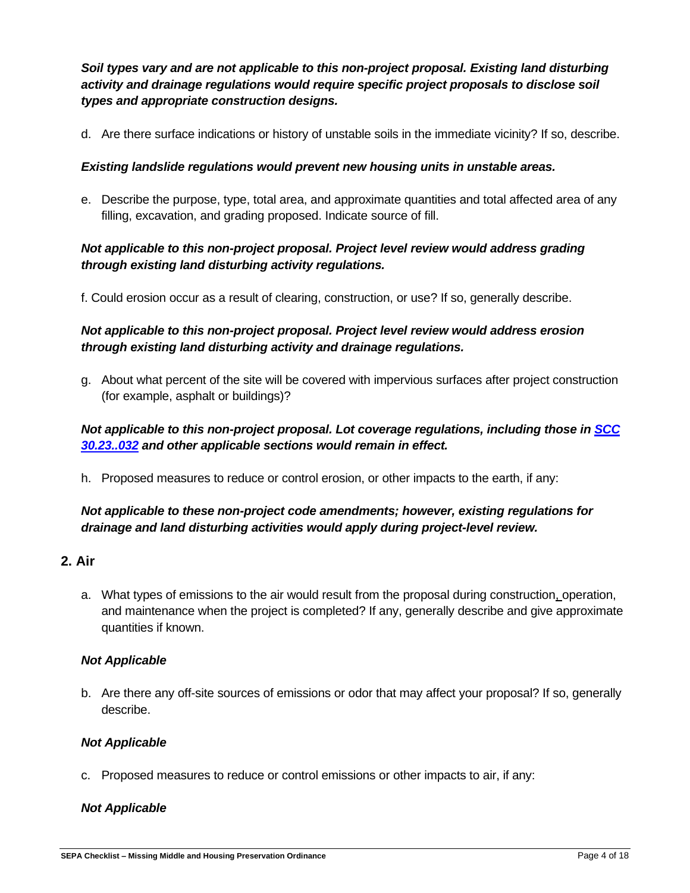*Soil types vary and are not applicable to this non-project proposal. Existing land disturbing activity and drainage regulations would require specific project proposals to disclose soil types and appropriate construction designs.*

d. Are there surface indications or history of unstable soils in the immediate vicinity? If so, describe.

## *Existing landslide regulations would prevent new housing units in unstable areas.*

e. Describe the purpose, type, total area, and approximate quantities and total affected area of any filling, excavation, and grading proposed. Indicate source of fill.

# *Not applicable to this non-project proposal. Project level review would address grading through existing land disturbing activity regulations.*

f. Could erosion occur as a result of clearing, construction, or use? If so, generally describe.

# *Not applicable to this non-project proposal. Project level review would address erosion through existing land disturbing activity and drainage regulations.*

g. About what percent of the site will be covered with impervious surfaces after project construction (for example, asphalt or buildings)?

# *Not applicable to this non-project proposal. Lot coverage regulations, including those in [SCC](https://snohomish.county.codes/SCC/30.23.032)  [30.23..032](https://snohomish.county.codes/SCC/30.23.032) and other applicable sections would remain in effect.*

h. Proposed measures to reduce or control erosion, or other impacts to the earth, if any:

# *Not applicable to these non-project code amendments; however, existing regulations for drainage and land disturbing activities would apply during project-level review.*

# **2. Air**

a. What types of emissions to the air would result from the proposal during construction, operation, and maintenance when the project is completed? If any, generally describe and give approximate quantities if known.

#### *Not Applicable*

b. Are there any off-site sources of emissions or odor that may affect your proposal? If so, generally describe.

#### *Not Applicable*

c. Proposed measures to reduce or control emissions or other impacts to air, if any:

#### *Not Applicable*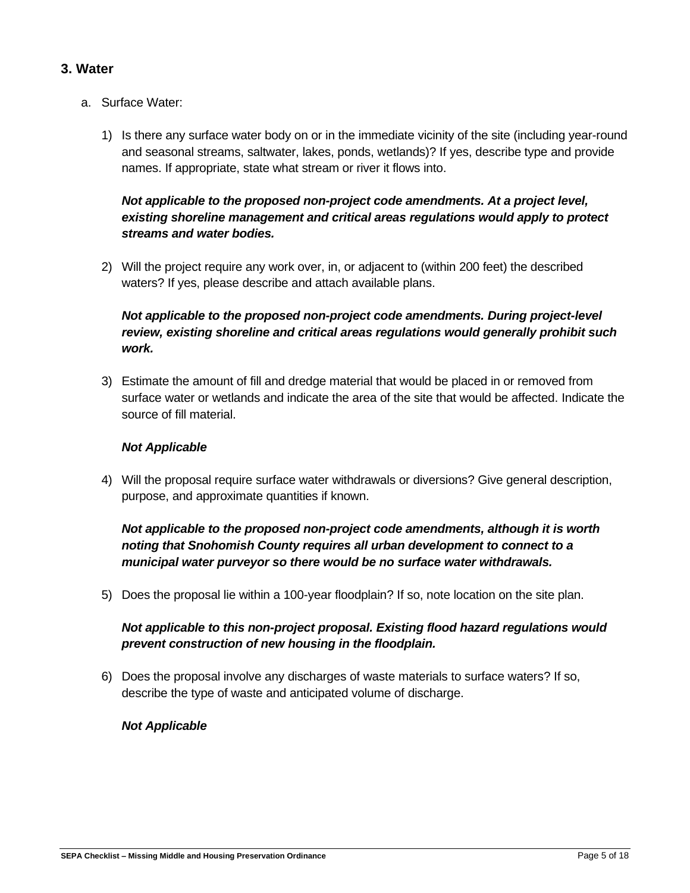## **3. Water**

- a. Surface Water:
	- 1) Is there any surface water body on or in the immediate vicinity of the site (including year-round and seasonal streams, saltwater, lakes, ponds, wetlands)? If yes, describe type and provide names. If appropriate, state what stream or river it flows into.

## *Not applicable to the proposed non-project code amendments. At a project level, existing shoreline management and critical areas regulations would apply to protect streams and water bodies.*

2) Will the project require any work over, in, or adjacent to (within 200 feet) the described waters? If yes, please describe and attach available plans.

# *Not applicable to the proposed non-project code amendments. During project-level review, existing shoreline and critical areas regulations would generally prohibit such work.*

3) Estimate the amount of fill and dredge material that would be placed in or removed from surface water or wetlands and indicate the area of the site that would be affected. Indicate the source of fill material.

#### *Not Applicable*

4) Will the proposal require surface water withdrawals or diversions? Give general description, purpose, and approximate quantities if known.

# *Not applicable to the proposed non-project code amendments, although it is worth noting that Snohomish County requires all urban development to connect to a municipal water purveyor so there would be no surface water withdrawals.*

5) Does the proposal lie within a 100-year floodplain? If so, note location on the site plan.

## *Not applicable to this non-project proposal. Existing flood hazard regulations would prevent construction of new housing in the floodplain.*

6) Does the proposal involve any discharges of waste materials to surface waters? If so, describe the type of waste and anticipated volume of discharge.

#### *Not Applicable*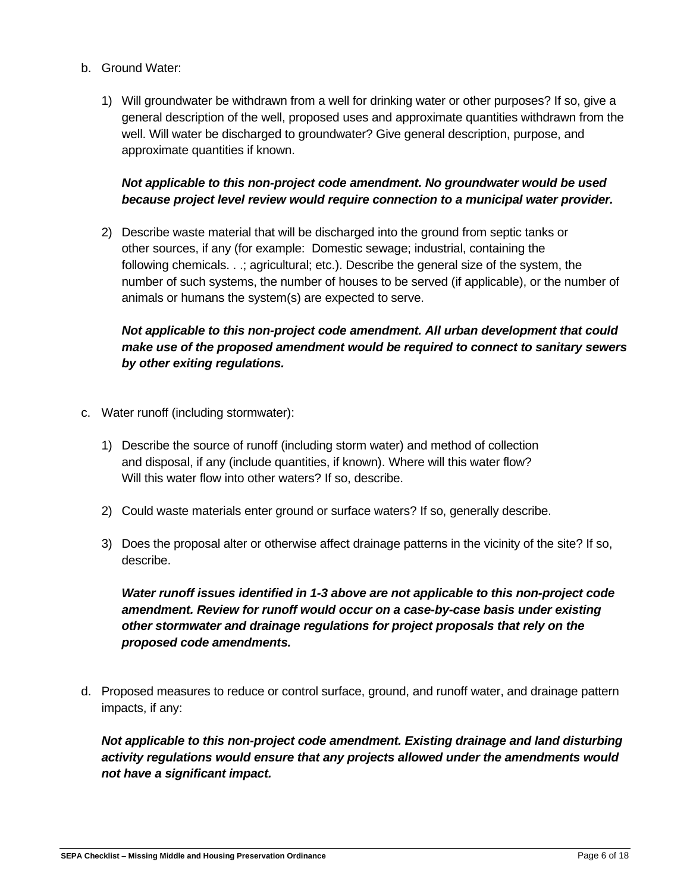- b. Ground Water:
	- 1) Will groundwater be withdrawn from a well for drinking water or other purposes? If so, give a general description of the well, proposed uses and approximate quantities withdrawn from the well. Will water be discharged to groundwater? Give general description, purpose, and approximate quantities if known.

## *Not applicable to this non-project code amendment. No groundwater would be used because project level review would require connection to a municipal water provider.*

2) Describe waste material that will be discharged into the ground from septic tanks or other sources, if any (for example: Domestic sewage; industrial, containing the following chemicals. . .; agricultural; etc.). Describe the general size of the system, the number of such systems, the number of houses to be served (if applicable), or the number of animals or humans the system(s) are expected to serve.

# *Not applicable to this non-project code amendment. All urban development that could make use of the proposed amendment would be required to connect to sanitary sewers by other exiting regulations.*

- c. Water runoff (including stormwater):
	- 1) Describe the source of runoff (including storm water) and method of collection and disposal, if any (include quantities, if known). Where will this water flow? Will this water flow into other waters? If so, describe.
	- 2) Could waste materials enter ground or surface waters? If so, generally describe.
	- 3) Does the proposal alter or otherwise affect drainage patterns in the vicinity of the site? If so, describe.

*Water runoff issues identified in 1-3 above are not applicable to this non-project code amendment. Review for runoff would occur on a case-by-case basis under existing other stormwater and drainage regulations for project proposals that rely on the proposed code amendments.* 

d. Proposed measures to reduce or control surface, ground, and runoff water, and drainage pattern impacts, if any:

*Not applicable to this non-project code amendment. Existing drainage and land disturbing activity regulations would ensure that any projects allowed under the amendments would not have a significant impact.*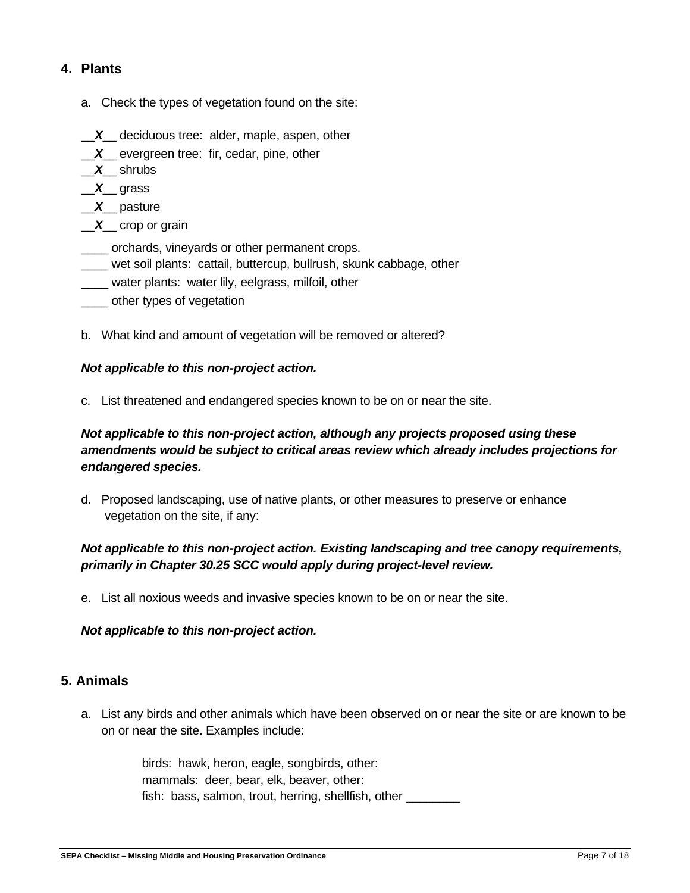# **4. Plants**

- a. Check the types of vegetation found on the site:
- \_\_*X*\_\_ deciduous tree: alder, maple, aspen, other
- \_\_*X*\_\_ evergreen tree: fir, cedar, pine, other
- \_\_*X*\_\_ shrubs
- \_\_*X*\_\_ grass
- \_\_*X*\_\_ pasture
- \_\_*X*\_\_ crop or grain
- \_\_\_\_ orchards, vineyards or other permanent crops.
- wet soil plants: cattail, buttercup, bullrush, skunk cabbage, other
- \_\_\_\_ water plants: water lily, eelgrass, milfoil, other
- \_\_\_\_ other types of vegetation
- b. What kind and amount of vegetation will be removed or altered?

#### *Not applicable to this non-project action.*

c. List threatened and endangered species known to be on or near the site.

## *Not applicable to this non-project action, although any projects proposed using these amendments would be subject to critical areas review which already includes projections for endangered species.*

d. Proposed landscaping, use of native plants, or other measures to preserve or enhance vegetation on the site, if any:

## *Not applicable to this non-project action. Existing landscaping and tree canopy requirements, primarily in Chapter 30.25 SCC would apply during project-level review.*

e. List all noxious weeds and invasive species known to be on or near the site.

#### *Not applicable to this non-project action.*

#### **5. Animals**

a. List any birds and other animals which have been observed on or near the site or are known to be on or near the site. Examples include:

> birds: hawk, heron, eagle, songbirds, other: mammals: deer, bear, elk, beaver, other: fish: bass, salmon, trout, herring, shellfish, other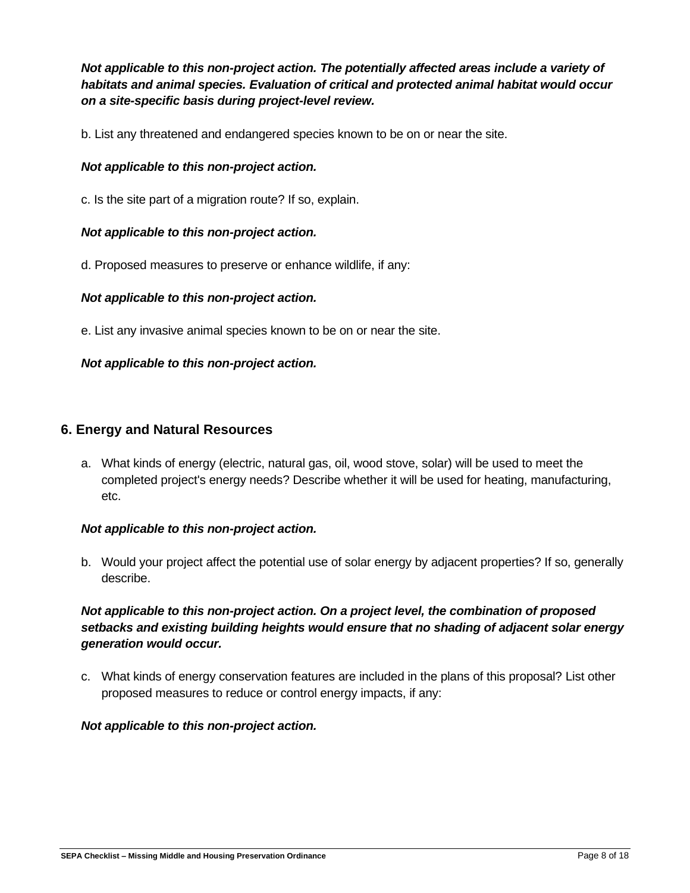*Not applicable to this non-project action. The potentially affected areas include a variety of habitats and animal species. Evaluation of critical and protected animal habitat would occur on a site-specific basis during project-level review.*

b. List any threatened and endangered species known to be on or near the site.

## *Not applicable to this non-project action.*

c. Is the site part of a migration route? If so, explain.

#### *Not applicable to this non-project action.*

d. Proposed measures to preserve or enhance wildlife, if any:

#### *Not applicable to this non-project action.*

e. List any invasive animal species known to be on or near the site.

#### *Not applicable to this non-project action.*

#### **6. Energy and Natural Resources**

a. What kinds of energy (electric, natural gas, oil, wood stove, solar) will be used to meet the completed project's energy needs? Describe whether it will be used for heating, manufacturing, etc.

#### *Not applicable to this non-project action.*

b. Would your project affect the potential use of solar energy by adjacent properties? If so, generally describe.

## *Not applicable to this non-project action. On a project level, the combination of proposed setbacks and existing building heights would ensure that no shading of adjacent solar energy generation would occur.*

c. What kinds of energy conservation features are included in the plans of this proposal? List other proposed measures to reduce or control energy impacts, if any: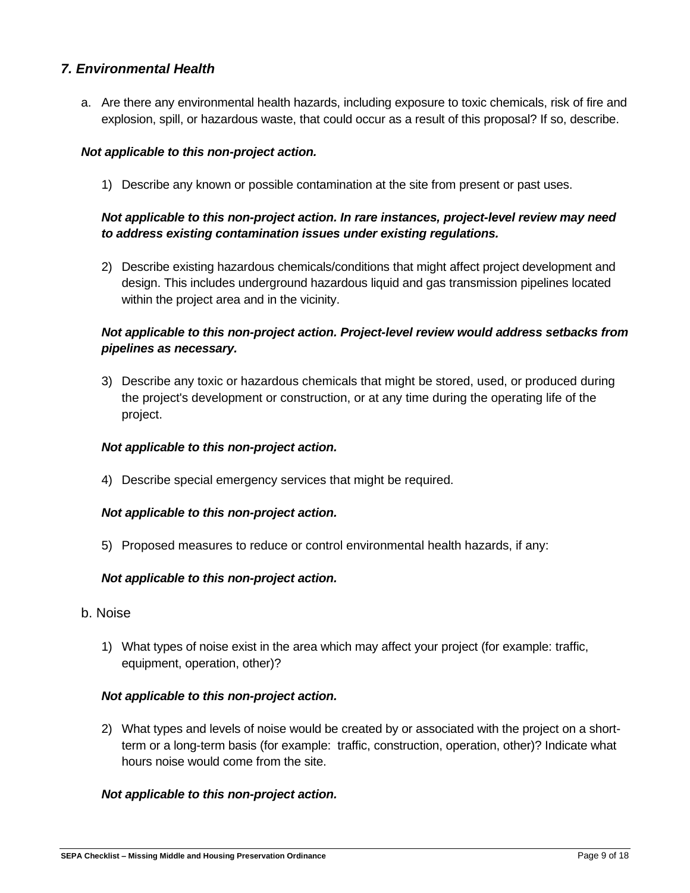## *7. Environmental Health*

a. Are there any environmental health hazards, including exposure to toxic chemicals, risk of fire and explosion, spill, or hazardous waste, that could occur as a result of this proposal? If so, describe.

#### *Not applicable to this non-project action.*

1) Describe any known or possible contamination at the site from present or past uses.

## *Not applicable to this non-project action. In rare instances, project-level review may need to address existing contamination issues under existing regulations.*

2) Describe existing hazardous chemicals/conditions that might affect project development and design. This includes underground hazardous liquid and gas transmission pipelines located within the project area and in the vicinity.

### *Not applicable to this non-project action. Project-level review would address setbacks from pipelines as necessary.*

3) Describe any toxic or hazardous chemicals that might be stored, used, or produced during the project's development or construction, or at any time during the operating life of the project.

#### *Not applicable to this non-project action.*

4) Describe special emergency services that might be required.

#### *Not applicable to this non-project action.*

5) Proposed measures to reduce or control environmental health hazards, if any:

#### *Not applicable to this non-project action.*

- b. Noise
	- 1) What types of noise exist in the area which may affect your project (for example: traffic, equipment, operation, other)?

#### *Not applicable to this non-project action.*

2) What types and levels of noise would be created by or associated with the project on a shortterm or a long-term basis (for example: traffic, construction, operation, other)? Indicate what hours noise would come from the site.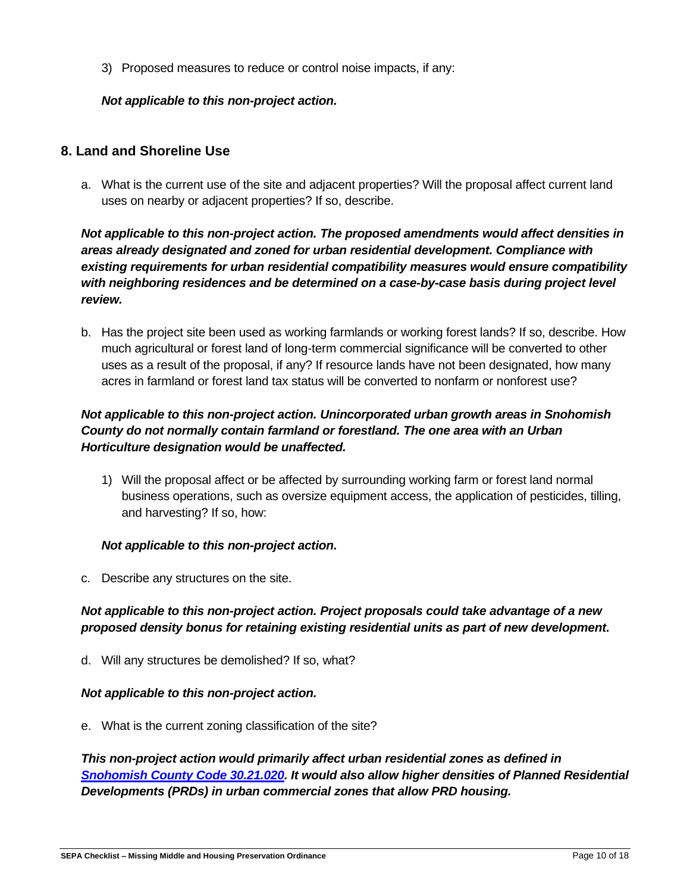3) Proposed measures to reduce or control noise impacts, if any:

## *Not applicable to this non-project action.*

# **8. Land and Shoreline Use**

a. What is the current use of the site and adjacent properties? Will the proposal affect current land uses on nearby or adjacent properties? If so, describe.

# *Not applicable to this non-project action. The proposed amendments would affect densities in areas already designated and zoned for urban residential development. Compliance with existing requirements for urban residential compatibility measures would ensure compatibility with neighboring residences and be determined on a case-by-case basis during project level review.*

b. Has the project site been used as working farmlands or working forest lands? If so, describe. How much agricultural or forest land of long-term commercial significance will be converted to other uses as a result of the proposal, if any? If resource lands have not been designated, how many acres in farmland or forest land tax status will be converted to nonfarm or nonforest use?

# *Not applicable to this non-project action. Unincorporated urban growth areas in Snohomish County do not normally contain farmland or forestland. The one area with an Urban Horticulture designation would be unaffected.*

1) Will the proposal affect or be affected by surrounding working farm or forest land normal business operations, such as oversize equipment access, the application of pesticides, tilling, and harvesting? If so, how:

#### *Not applicable to this non-project action.*

c. Describe any structures on the site.

# *Not applicable to this non-project action. Project proposals could take advantage of a new proposed density bonus for retaining existing residential units as part of new development.*

d. Will any structures be demolished? If so, what?

#### *Not applicable to this non-project action.*

e. What is the current zoning classification of the site?

*This non-project action would primarily affect urban residential zones as defined in [Snohomish County Code 30.21.020.](https://snohomish.county.codes/SCC/30.21.020) It would also allow higher densities of Planned Residential Developments (PRDs) in urban commercial zones that allow PRD housing.*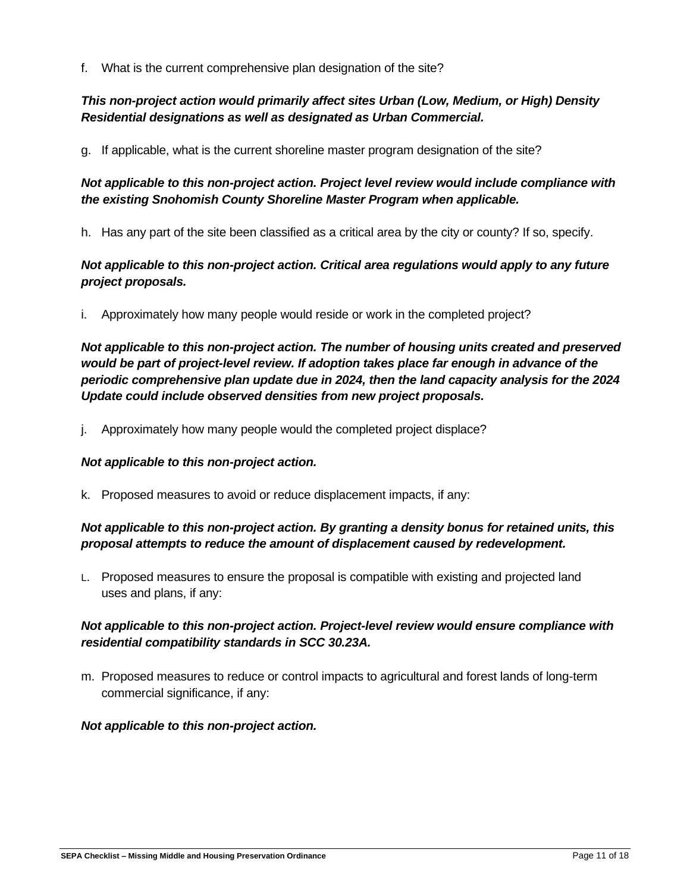f. What is the current comprehensive plan designation of the site?

# *This non-project action would primarily affect sites Urban (Low, Medium, or High) Density Residential designations as well as designated as Urban Commercial.*

g. If applicable, what is the current shoreline master program designation of the site?

# *Not applicable to this non-project action. Project level review would include compliance with the existing Snohomish County Shoreline Master Program when applicable.*

h. Has any part of the site been classified as a critical area by the city or county? If so, specify.

# *Not applicable to this non-project action. Critical area regulations would apply to any future project proposals.*

i. Approximately how many people would reside or work in the completed project?

*Not applicable to this non-project action. The number of housing units created and preserved would be part of project-level review. If adoption takes place far enough in advance of the periodic comprehensive plan update due in 2024, then the land capacity analysis for the 2024 Update could include observed densities from new project proposals.* 

j. Approximately how many people would the completed project displace?

#### *Not applicable to this non-project action.*

k. Proposed measures to avoid or reduce displacement impacts, if any:

## *Not applicable to this non-project action. By granting a density bonus for retained units, this proposal attempts to reduce the amount of displacement caused by redevelopment.*

L. Proposed measures to ensure the proposal is compatible with existing and projected land uses and plans, if any:

# *Not applicable to this non-project action. Project-level review would ensure compliance with residential compatibility standards in SCC 30.23A.*

m. Proposed measures to reduce or control impacts to agricultural and forest lands of long-term commercial significance, if any: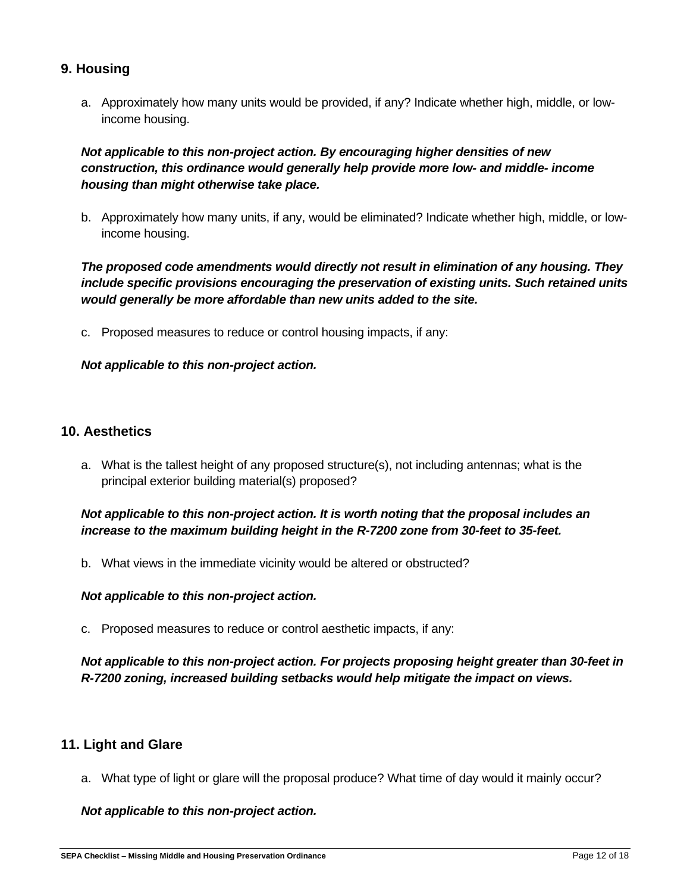# **9. Housing**

a. Approximately how many units would be provided, if any? Indicate whether high, middle, or lowincome housing.

## *Not applicable to this non-project action. By encouraging higher densities of new construction, this ordinance would generally help provide more low- and middle- income housing than might otherwise take place.*

b. Approximately how many units, if any, would be eliminated? Indicate whether high, middle, or lowincome housing.

# *The proposed code amendments would directly not result in elimination of any housing. They include specific provisions encouraging the preservation of existing units. Such retained units would generally be more affordable than new units added to the site.*

c. Proposed measures to reduce or control housing impacts, if any:

#### *Not applicable to this non-project action.*

#### **10. Aesthetics**

a. What is the tallest height of any proposed structure(s), not including antennas; what is the principal exterior building material(s) proposed?

## *Not applicable to this non-project action. It is worth noting that the proposal includes an increase to the maximum building height in the R-7200 zone from 30-feet to 35-feet.*

b. What views in the immediate vicinity would be altered or obstructed?

#### *Not applicable to this non-project action.*

c. Proposed measures to reduce or control aesthetic impacts, if any:

## *Not applicable to this non-project action. For projects proposing height greater than 30-feet in R-7200 zoning, increased building setbacks would help mitigate the impact on views.*

# **11. Light and Glare**

a. What type of light or glare will the proposal produce? What time of day would it mainly occur?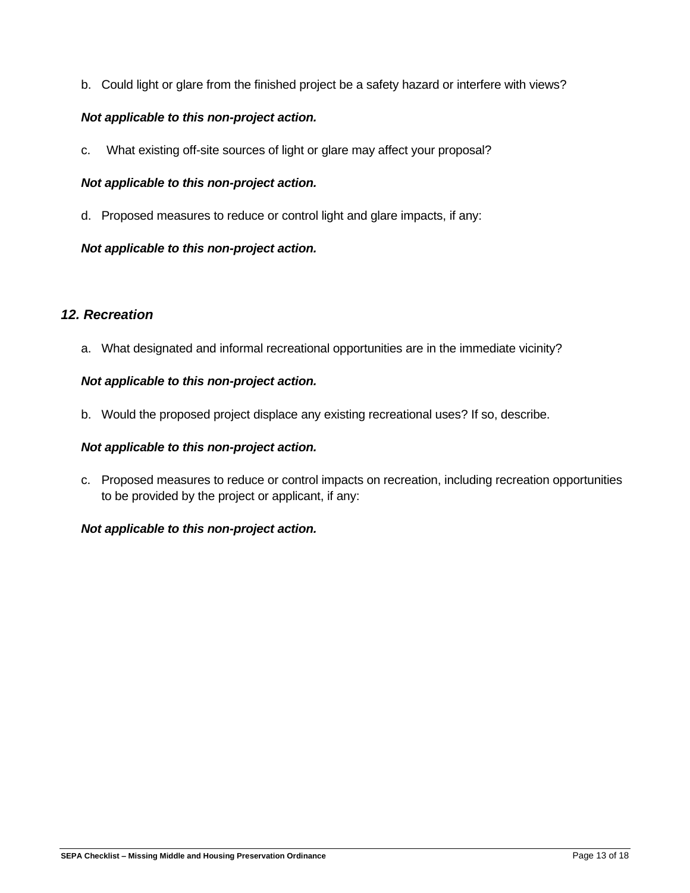b. Could light or glare from the finished project be a safety hazard or interfere with views?

## *Not applicable to this non-project action.*

c. What existing off-site sources of light or glare may affect your proposal?

### *Not applicable to this non-project action.*

d. Proposed measures to reduce or control light and glare impacts, if any:

## *Not applicable to this non-project action.*

# *12. Recreation*

a. What designated and informal recreational opportunities are in the immediate vicinity?

#### *Not applicable to this non-project action.*

b. Would the proposed project displace any existing recreational uses? If so, describe.

#### *Not applicable to this non-project action.*

c. Proposed measures to reduce or control impacts on recreation, including recreation opportunities to be provided by the project or applicant, if any: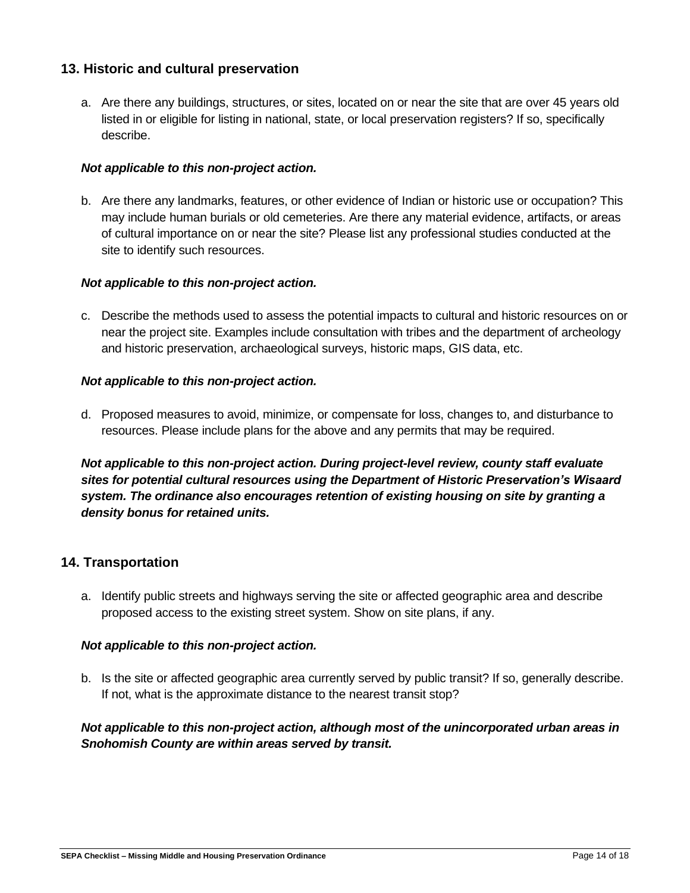# **13. Historic and cultural preservation**

a. Are there any buildings, structures, or sites, located on or near the site that are over 45 years old listed in or eligible for listing in national, state, or local preservation registers? If so, specifically describe.

#### *Not applicable to this non-project action.*

b. Are there any landmarks, features, or other evidence of Indian or historic use or occupation? This may include human burials or old cemeteries. Are there any material evidence, artifacts, or areas of cultural importance on or near the site? Please list any professional studies conducted at the site to identify such resources.

#### *Not applicable to this non-project action.*

c. Describe the methods used to assess the potential impacts to cultural and historic resources on or near the project site. Examples include consultation with tribes and the department of archeology and historic preservation, archaeological surveys, historic maps, GIS data, etc.

#### *Not applicable to this non-project action.*

d. Proposed measures to avoid, minimize, or compensate for loss, changes to, and disturbance to resources. Please include plans for the above and any permits that may be required.

*Not applicable to this non-project action. During project-level review, county staff evaluate sites for potential cultural resources using the Department of Historic Preservation's Wisaard system. The ordinance also encourages retention of existing housing on site by granting a density bonus for retained units.*

# **14. Transportation**

a. Identify public streets and highways serving the site or affected geographic area and describe proposed access to the existing street system. Show on site plans, if any.

#### *Not applicable to this non-project action.*

b. Is the site or affected geographic area currently served by public transit? If so, generally describe. If not, what is the approximate distance to the nearest transit stop?

*Not applicable to this non-project action, although most of the unincorporated urban areas in Snohomish County are within areas served by transit.*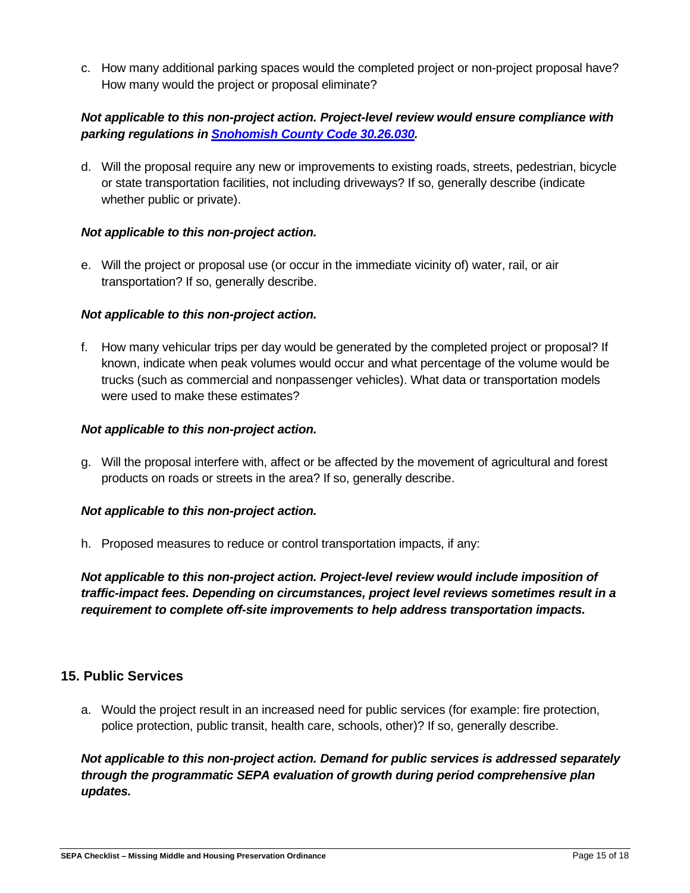c. How many additional parking spaces would the completed project or non-project proposal have? How many would the project or proposal eliminate?

## *Not applicable to this non-project action. Project-level review would ensure compliance with parking regulations in [Snohomish County Code 30.26.030.](https://snohomish.county.codes/SCC/30.26.030)*

d. Will the proposal require any new or improvements to existing roads, streets, pedestrian, bicycle or state transportation facilities, not including driveways? If so, generally describe (indicate whether public or private).

#### *Not applicable to this non-project action.*

e. Will the project or proposal use (or occur in the immediate vicinity of) water, rail, or air transportation? If so, generally describe.

#### *Not applicable to this non-project action.*

f. How many vehicular trips per day would be generated by the completed project or proposal? If known, indicate when peak volumes would occur and what percentage of the volume would be trucks (such as commercial and nonpassenger vehicles). What data or transportation models were used to make these estimates?

#### *Not applicable to this non-project action.*

g. Will the proposal interfere with, affect or be affected by the movement of agricultural and forest products on roads or streets in the area? If so, generally describe.

#### *Not applicable to this non-project action.*

h. Proposed measures to reduce or control transportation impacts, if any:

*Not applicable to this non-project action. Project-level review would include imposition of traffic-impact fees. Depending on circumstances, project level reviews sometimes result in a requirement to complete off-site improvements to help address transportation impacts.* 

#### **15. Public Services**

a. Would the project result in an increased need for public services (for example: fire protection, police protection, public transit, health care, schools, other)? If so, generally describe.

*Not applicable to this non-project action. Demand for public services is addressed separately through the programmatic SEPA evaluation of growth during period comprehensive plan updates.*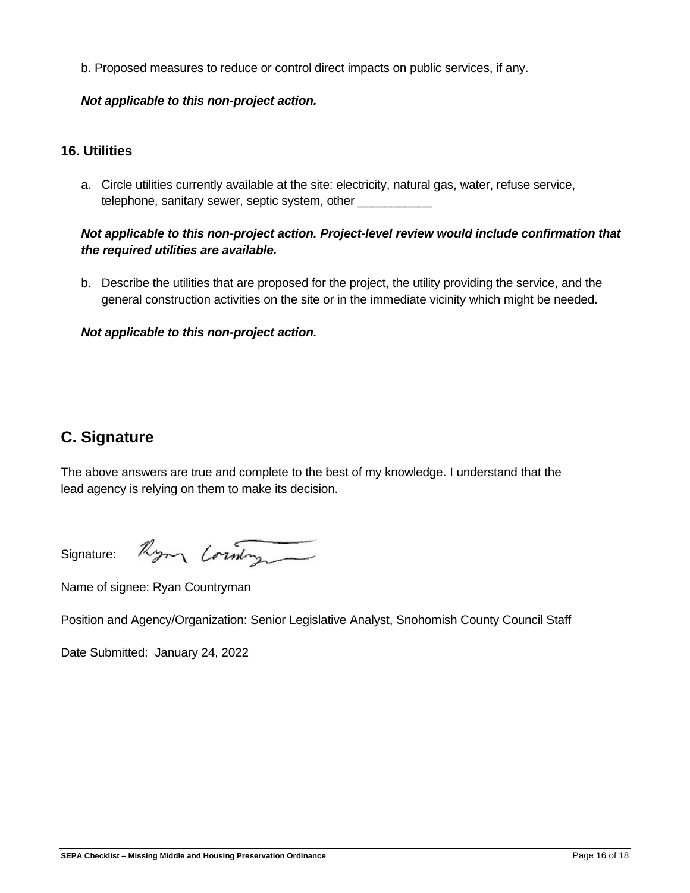b. Proposed measures to reduce or control direct impacts on public services, if any.

#### *Not applicable to this non-project action.*

## **16. Utilities**

a. Circle utilities currently available at the site: electricity, natural gas, water, refuse service, telephone, sanitary sewer, septic system, other \_\_\_\_\_\_\_\_\_\_\_

# *Not applicable to this non-project action. Project-level review would include confirmation that the required utilities are available.*

b. Describe the utilities that are proposed for the project, the utility providing the service, and the general construction activities on the site or in the immediate vicinity which might be needed.

## *Not applicable to this non-project action.*

# **C. Signature**

The above answers are true and complete to the best of my knowledge. I understand that the lead agency is relying on them to make its decision.

Rym Commy Signature:

Name of signee: Ryan Countryman

Position and Agency/Organization: Senior Legislative Analyst, Snohomish County Council Staff

Date Submitted: January 24, 2022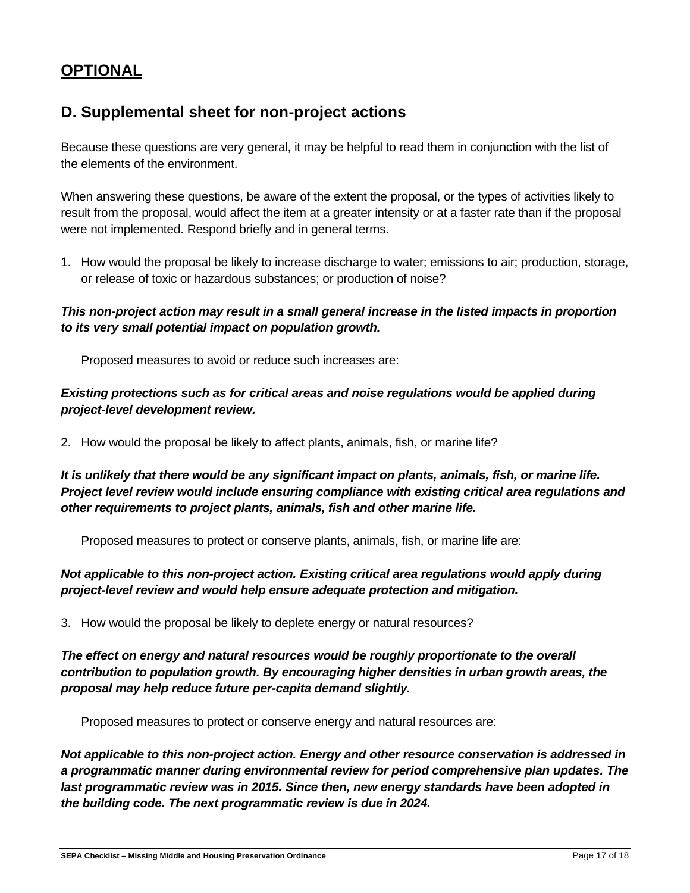# **OPTIONAL**

# **D. Supplemental sheet for non-project actions**

Because these questions are very general, it may be helpful to read them in conjunction with the list of the elements of the environment.

When answering these questions, be aware of the extent the proposal, or the types of activities likely to result from the proposal, would affect the item at a greater intensity or at a faster rate than if the proposal were not implemented. Respond briefly and in general terms.

1. How would the proposal be likely to increase discharge to water; emissions to air; production, storage, or release of toxic or hazardous substances; or production of noise?

*This non-project action may result in a small general increase in the listed impacts in proportion to its very small potential impact on population growth.* 

Proposed measures to avoid or reduce such increases are:

# *Existing protections such as for critical areas and noise regulations would be applied during project-level development review.*

2. How would the proposal be likely to affect plants, animals, fish, or marine life?

*It is unlikely that there would be any significant impact on plants, animals, fish, or marine life. Project level review would include ensuring compliance with existing critical area regulations and other requirements to project plants, animals, fish and other marine life.* 

Proposed measures to protect or conserve plants, animals, fish, or marine life are:

# *Not applicable to this non-project action. Existing critical area regulations would apply during project-level review and would help ensure adequate protection and mitigation.*

3. How would the proposal be likely to deplete energy or natural resources?

*The effect on energy and natural resources would be roughly proportionate to the overall contribution to population growth. By encouraging higher densities in urban growth areas, the proposal may help reduce future per-capita demand slightly.* 

Proposed measures to protect or conserve energy and natural resources are:

*Not applicable to this non-project action. Energy and other resource conservation is addressed in a programmatic manner during environmental review for period comprehensive plan updates. The last programmatic review was in 2015. Since then, new energy standards have been adopted in the building code. The next programmatic review is due in 2024.*